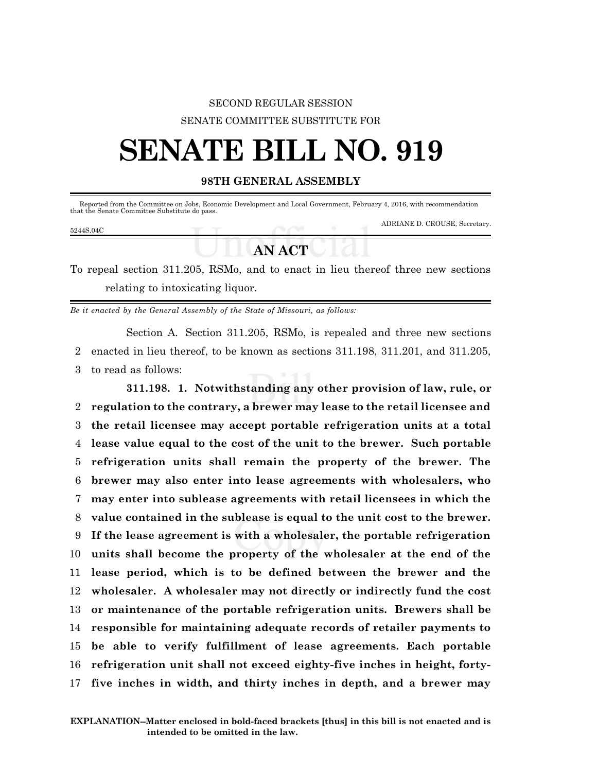## SECOND REGULAR SESSION SENATE COMMITTEE SUBSTITUTE FOR

## **SENATE BILL NO. 919**

## **98TH GENERAL ASSEMBLY**

| that the Senate Committee Substitute do pass. |  | Reported from the Committee on Jobs, Economic Development and Local Government, February 4, 2016, with recommendation |
|-----------------------------------------------|--|-----------------------------------------------------------------------------------------------------------------------|
| 5244S.04C                                     |  | ADRIANE D. CROUSE, Secretary.                                                                                         |
|                                               |  |                                                                                                                       |

## *AN* **<b>ACT**

To repeal section 311.205, RSMo, and to enact in lieu thereof three new sections relating to intoxicating liquor.

*Be it enacted by the General Assembly of the State of Missouri, as follows:*

Section A. Section 311.205, RSMo, is repealed and three new sections 2 enacted in lieu thereof, to be known as sections 311.198, 311.201, and 311.205, 3 to read as follows:

**311.198. 1. Notwithstanding any other provision of law, rule, or regulation to the contrary, a brewer may lease to the retail licensee and the retail licensee may accept portable refrigeration units at a total lease value equal to the cost of the unit to the brewer. Such portable refrigeration units shall remain the property of the brewer. The brewer may also enter into lease agreements with wholesalers, who may enter into sublease agreements with retail licensees in which the value contained in the sublease is equal to the unit cost to the brewer. If the lease agreement is with a wholesaler, the portable refrigeration units shall become the property of the wholesaler at the end of the lease period, which is to be defined between the brewer and the wholesaler. A wholesaler may not directly or indirectly fund the cost or maintenance of the portable refrigeration units. Brewers shall be responsible for maintaining adequate records of retailer payments to be able to verify fulfillment of lease agreements. Each portable refrigeration unit shall not exceed eighty-five inches in height, forty-five inches in width, and thirty inches in depth, and a brewer may**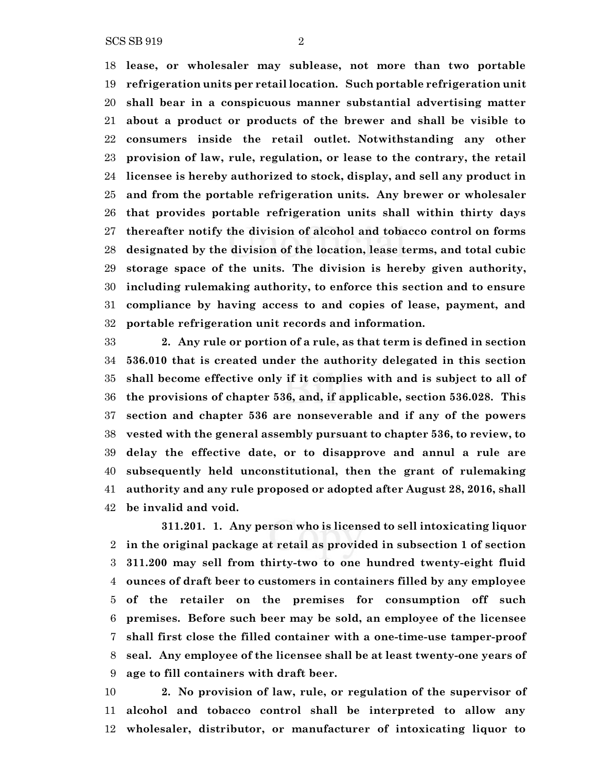SCS SB 919 2

 **lease, or wholesaler may sublease, not more than two portable refrigeration units per retail location. Such portable refrigeration unit shall bear in a conspicuous manner substantial advertising matter about a product or products of the brewer and shall be visible to consumers inside the retail outlet. Notwithstanding any other provision of law, rule, regulation, or lease to the contrary, the retail licensee is hereby authorized to stock, display, and sell any product in and from the portable refrigeration units. Any brewer or wholesaler that provides portable refrigeration units shall within thirty days thereafter notify the division of alcohol and tobacco control on forms designated by the division of the location, lease terms, and total cubic storage space of the units. The division is hereby given authority, including rulemaking authority, to enforce this section and to ensure compliance by having access to and copies of lease, payment, and portable refrigeration unit records and information.**

 **2. Any rule or portion of a rule, as that term is defined in section 536.010 that is created under the authority delegated in this section shall become effective only if it complies with and is subject to all of the provisions of chapter 536, and, if applicable, section 536.028. This section and chapter 536 are nonseverable and if any of the powers vested with the general assembly pursuant to chapter 536, to review, to delay the effective date, or to disapprove and annul a rule are subsequently held unconstitutional, then the grant of rulemaking authority and any rule proposed or adopted after August 28, 2016, shall be invalid and void.**

**311.201. 1. Any person who is licensed to sell intoxicating liquor in the original package at retail as provided in subsection 1 of section 311.200 may sell from thirty-two to one hundred twenty-eight fluid ounces of draft beer to customers in containers filled by any employee of the retailer on the premises for consumption off such premises. Before such beer may be sold, an employee of the licensee shall first close the filled container with a one-time-use tamper-proof seal. Any employee of the licensee shall be at least twenty-one years of age to fill containers with draft beer.**

 **2. No provision of law, rule, or regulation of the supervisor of alcohol and tobacco control shall be interpreted to allow any wholesaler, distributor, or manufacturer of intoxicating liquor to**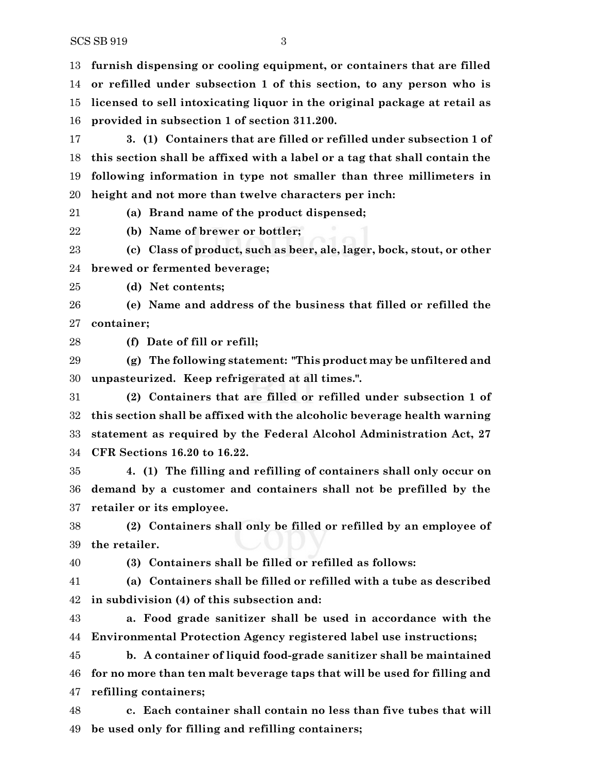SCS SB 919 3

 **furnish dispensing or cooling equipment, or containers that are filled or refilled under subsection 1 of this section, to any person who is licensed to sell intoxicating liquor in the original package at retail as provided in subsection 1 of section 311.200.**

 **3. (1) Containers that are filled or refilled under subsection 1 of this section shall be affixed with a label or a tag that shall contain the following information in type not smaller than three millimeters in height and not more than twelve characters per inch:**

**(a) Brand name of the product dispensed;**

**(b) Name of brewer or bottler;**

 **(c) Class of product, such as beer, ale, lager, bock, stout, or other brewed or fermented beverage;**

**(d) Net contents;**

 **(e) Name and address of the business that filled or refilled the container;**

**(f) Date of fill or refill;**

 **(g) The following statement: "This product may be unfiltered and unpasteurized. Keep refrigerated at all times.".**

 **(2) Containers that are filled or refilled under subsection 1 of this section shall be affixed with the alcoholic beverage health warning statement as required by the Federal Alcohol Administration Act, 27 CFR Sections 16.20 to 16.22.**

 **4. (1) The filling and refilling of containers shall only occur on demand by a customer and containers shall not be prefilled by the retailer or its employee.**

 **(2) Containers shall only be filled or refilled by an employee of the retailer.**

**(3) Containers shall be filled or refilled as follows:**

 **(a) Containers shall be filled or refilled with a tube as described in subdivision (4) of this subsection and:**

 **a. Food grade sanitizer shall be used in accordance with the Environmental Protection Agency registered label use instructions;**

 **b. A container of liquid food-grade sanitizer shall be maintained for no more than ten malt beverage taps that will be used for filling and refilling containers;**

 **c. Each container shall contain no less than five tubes that will be used only for filling and refilling containers;**